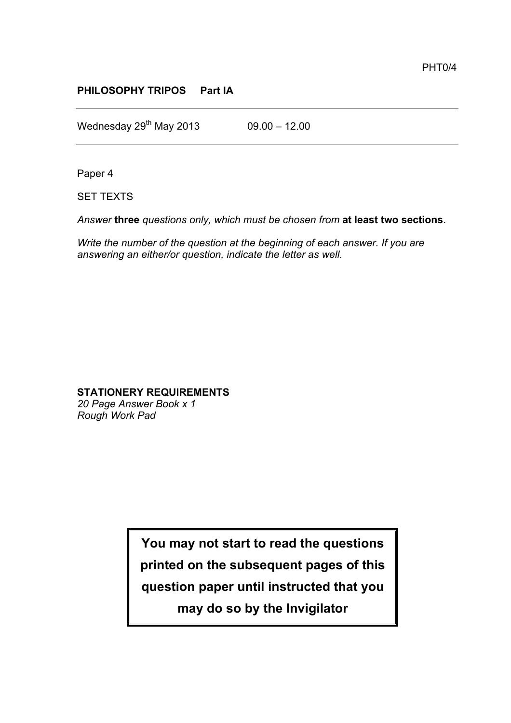## **PHILOSOPHY TRIPOS Part IA**

Wednesday  $29^{th}$  May 2013 09.00 – 12.00

Paper 4

SET TEXTS

*Answer* **three** *questions only, which must be chosen from* **at least two sections**.

*Write the number of the question at the beginning of each answer. If you are answering an either/or question, indicate the letter as well.*

## **STATIONERY REQUIREMENTS**

*20 Page Answer Book x 1 Rough Work Pad*

> **You may not start to read the questions printed on the subsequent pages of this question paper until instructed that you**

> > **may do so by the Invigilator**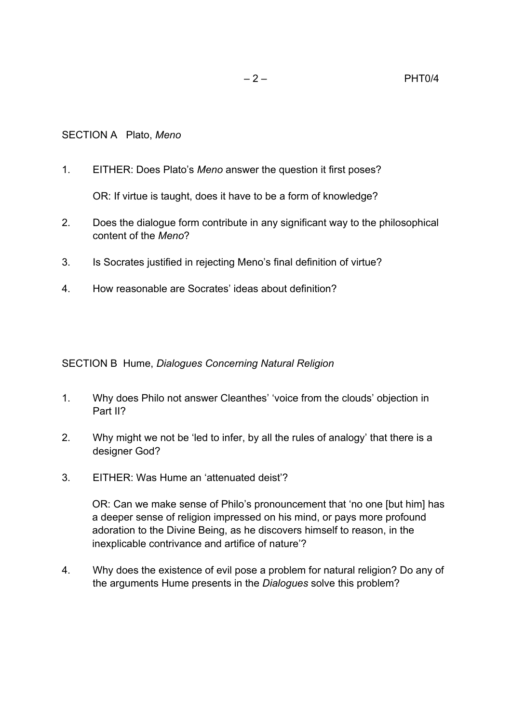1. EITHER: Does Plato's *Meno* answer the question it first poses?

OR: If virtue is taught, does it have to be a form of knowledge?

- 2. Does the dialogue form contribute in any significant way to the philosophical content of the *Meno*?
- 3. Is Socrates justified in rejecting Meno's final definition of virtue?
- 4. How reasonable are Socrates' ideas about definition?

SECTION B Hume, *Dialogues Concerning Natural Religion*

- 1. Why does Philo not answer Cleanthes' 'voice from the clouds' objection in Part II?
- 2. Why might we not be 'led to infer, by all the rules of analogy' that there is a designer God?
- 3. EITHER: Was Hume an 'attenuated deist'?

OR: Can we make sense of Philo's pronouncement that 'no one [but him] has a deeper sense of religion impressed on his mind, or pays more profound adoration to the Divine Being, as he discovers himself to reason, in the inexplicable contrivance and artifice of nature'?

4. Why does the existence of evil pose a problem for natural religion? Do any of the arguments Hume presents in the *Dialogues* solve this problem?